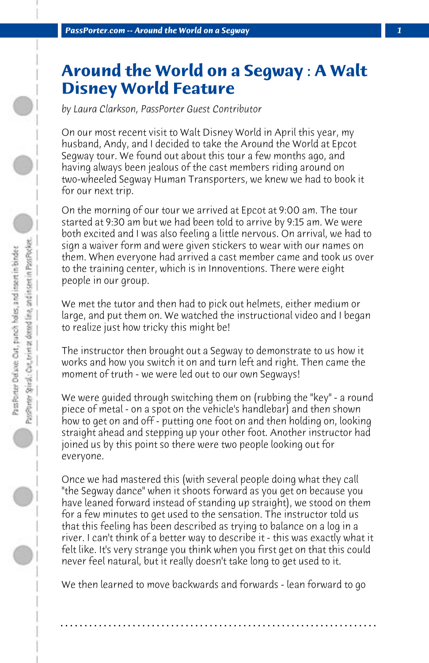## **Around the World on a Segway : A Walt Disney World Feature**

*by Laura Clarkson, PassPorter Guest Contributor*

On our most recent visit to Walt Disney World in April this year, my husband, Andy, and I decided to take the Around the World at Epcot Segway tour. We found out about this tour a few months ago, and having always been jealous of the cast members riding around on two-wheeled Segway Human Transporters, we knew we had to book it for our next trip.

On the morning of our tour we arrived at Epcot at 9:00 am. The tour started at 9:30 am but we had been told to arrive by 9:15 am. We were both excited and I was also feeling a little nervous. On arrival, we had to sign a waiver form and were given stickers to wear with our names on them. When everyone had arrived a cast member came and took us over to the training center, which is in Innoventions. There were eight people in our group.

We met the tutor and then had to pick out helmets, either medium or large, and put them on. We watched the instructional video and I began to realize just how tricky this might be!

The instructor then brought out a Segway to demonstrate to us how it works and how you switch it on and turn left and right. Then came the moment of truth - we were led out to our own Segways!

We were guided through switching them on (rubbing the "key" - a round piece of metal - on a spot on the vehicle's handlebar) and then shown how to get on and off - putting one foot on and then holding on, looking straight ahead and stepping up your other foot. Another instructor had joined us by this point so there were two people looking out for everyone.

Once we had mastered this (with several people doing what they call "the Segway dance" when it shoots forward as you get on because you have leaned forward instead of standing up straight), we stood on them for a few minutes to get used to the sensation. The instructor told us that this feeling has been described as trying to balance on a log in a river. I can't think of a better way to describe it - this was exactly what it felt like. It's very strange you think when you first get on that this could never feel natural, but it really doesn't take long to get used to it.

We then learned to move backwards and forwards - lean forward to go

**. . . . . . . . . . . . . . . . . . . . . . . . . . . . . . . . . . . . . . . . . . . . . . . . . . . . . . . . . . . . . . . . . .**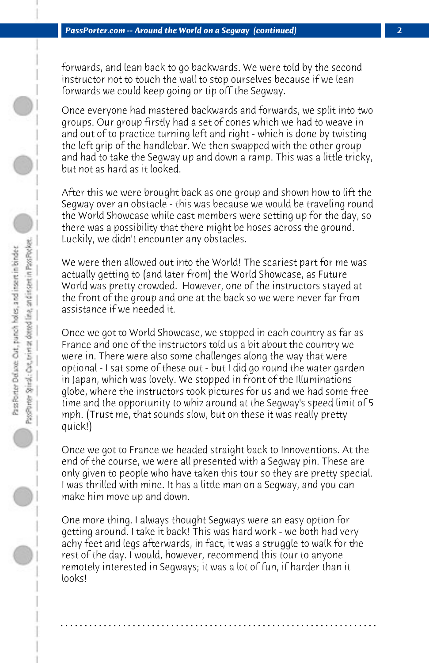forwards, and lean back to go backwards. We were told by the second instructor not to touch the wall to stop ourselves because if we lean forwards we could keep going or tip off the Segway.

Once everyone had mastered backwards and forwards, we split into two groups. Our group firstly had a set of cones which we had to weave in and out of to practice turning left and right - which is done by twisting the left grip of the handlebar. We then swapped with the other group and had to take the Segway up and down a ramp. This was a little tricky, but not as hard as it looked.

After this we were brought back as one group and shown how to lift the Segway over an obstacle - this was because we would be traveling round the World Showcase while cast members were setting up for the day, so there was a possibility that there might be hoses across the ground. Luckily, we didn't encounter any obstacles.

We were then allowed out into the World! The scariest part for me was actually getting to (and later from) the World Showcase, as Future World was pretty crowded. However, one of the instructors stayed at the front of the group and one at the back so we were never far from assistance if we needed it.

Once we got to World Showcase, we stopped in each country as far as France and one of the instructors told us a bit about the country we were in. There were also some challenges along the way that were optional - I sat some of these out - but I did go round the water garden in Japan, which was lovely. We stopped in front of the Illuminations globe, where the instructors took pictures for us and we had some free time and the opportunity to whiz around at the Segway's speed limit of 5 mph. (Trust me, that sounds slow, but on these it was really pretty quick!)

Once we got to France we headed straight back to Innoventions. At the end of the course, we were all presented with a Segway pin. These are only given to people who have taken this tour so they are pretty special. I was thrilled with mine. It has a little man on a Segway, and you can make him move up and down.

One more thing. I always thought Segways were an easy option for getting around. I take it back! This was hard work - we both had very achy feet and legs afterwards, in fact, it was a struggle to walk for the rest of the day. I would, however, recommend this tour to anyone remotely interested in Segways; it was a lot of fun, if harder than it looks!

**. . . . . . . . . . . . . . . . . . . . . . . . . . . . . . . . . . . . . . . . . . . . . . . . . . . . . . . . . . . . . . . . . .**